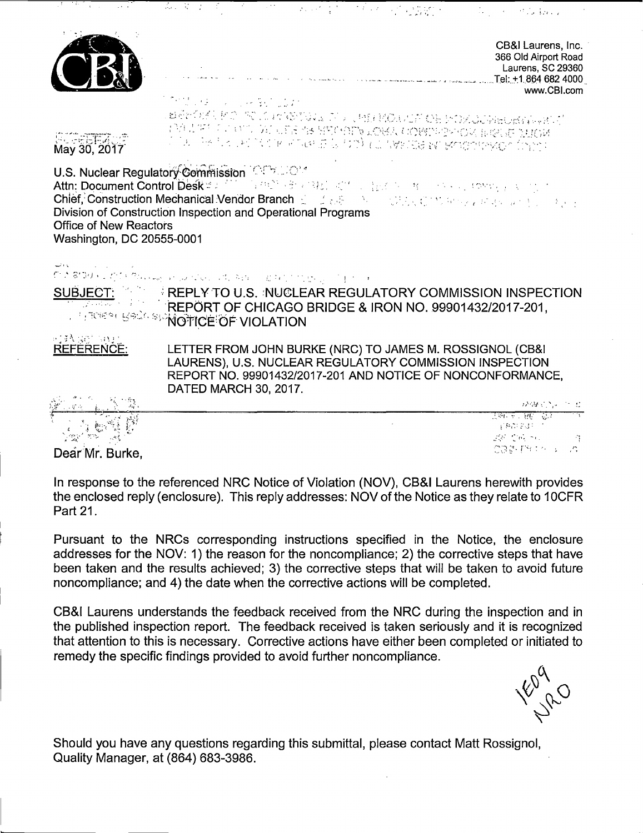|                                                            | क्री देखा है। इ<br>医肠骨炎 经经济的复数形式                                                                                                                                                                                                                                                                               | Common Committee Bank                                                                   |
|------------------------------------------------------------|----------------------------------------------------------------------------------------------------------------------------------------------------------------------------------------------------------------------------------------------------------------------------------------------------------------|-----------------------------------------------------------------------------------------|
|                                                            |                                                                                                                                                                                                                                                                                                                | CB&I Laurens, Inc.<br>366 Old Airport Road<br>Laurens, SC 29360<br>Tel: +1.864 682 4000 |
| May 30, 2017                                               | . # @pOSAL BOL 1920 LOP ASSIGNATION CHEMICALLIC CHEMICAL IMPORTANCE AND INTERNATIONAL ARRANGEMENT OF<br>AN LIFE EVENTS DE LES 19 BREATIN LOBA COBINENCIA BIOLE LECTA<br>A DE PARTICULAR MUNICIPALE GRUPPIC LA MARIA MODERNO CONTE                                                                              | www.CBI.com                                                                             |
| <b>Office of New Reactors</b><br>Washington, DC 20555-0001 | U.S. Nuclear Regulatory Commission COMMUS<br>Attn: Document Control Desk # 2 MM - WAS READ RM - WE ARE THE READY RESERVENT OF THE<br><b>Chief, Construction Mechanical Vendor Branch</b> 2002 and 2003 100 100 100 400 and 300 and 300 300 300<br>Division of Construction Inspection and Operational Programs |                                                                                         |
|                                                            |                                                                                                                                                                                                                                                                                                                |                                                                                         |
| SUBJECT:                                                   | CONSTRUCTION Services of the state of the service of the service of the service of the service of the service<br>REPLY TO U.S. NUCLEAR REGULATORY COMMISSION INSPECTION<br>REPORT OF CHICAGO BRIDGE & IRON NO. 99901432/2017-201,<br><b>A PROSECUTION SPACE OF VIOLATION</b>                                   |                                                                                         |
| 可转换 网络<br>REFERENCE:                                       | LETTER FROM JOHN BURKE (NRC) TO JAMES M. ROSSIGNOL (CB&I<br>LAURENS), U.S. NUCLEAR REGULATORY COMMISSION INSPECTION<br>REPORT NO. 99901432/2017-201 AND NOTICE OF NONCONFORMANCE,<br>DATED MARCH 30, 2017.                                                                                                     |                                                                                         |
|                                                            |                                                                                                                                                                                                                                                                                                                | かみどうに                                                                                   |
|                                                            |                                                                                                                                                                                                                                                                                                                | <u>ਰਿਆ ਦਾ ਸ਼ਹੀਦਾ ਹਿੱਸਾ</u><br>子宮の字はもして<br><b>22 (16) 201</b><br>-1                      |
|                                                            |                                                                                                                                                                                                                                                                                                                | 033-13 this                                                                             |

Dear Mr. Burke.

In response to the referenced NRC Notice of Violation (NOV), CB&I Laurens herewith provides the enclosed reply (enclosure). This reply addresses: NOV of the Notice as they relate to 10CFR Part 21.

Pursuant to the NRCs corresponding instructions specified in the Notice, the enclosure addresses for the NOV: 1) the reason for the noncompliance; 2) the corrective steps that have been taken and the results achieved; 3) the corrective steps that will be taken to avoid future noncompliance; and 4) the date when the corrective actions will be completed.

CB&I Laurens understands the feedback received from the NRC during the inspection and in the published inspection report. The feedback received is taken seriously and it is recognized that attention to this is necessary. Corrective actions have either been completed or initiated to remedy the specific findings provided to avoid further noncompliance.

YOU DO

Should you have any questions regarding this submittal, please contact Matt Rossignol, Quality Manager, at (864) 683-3986.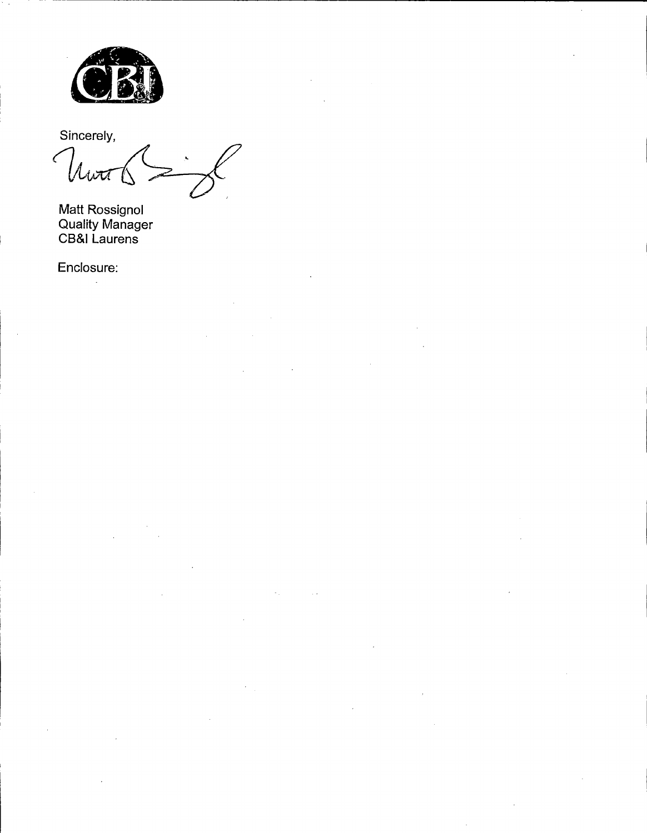

Sincerely,

 $\overline{\mathcal{C}}$ Wutt ľ V

Matt Rossignol Quality Manager CB&I Laurens

Enclosure:

 $\ddot{\phantom{a}}$ 

l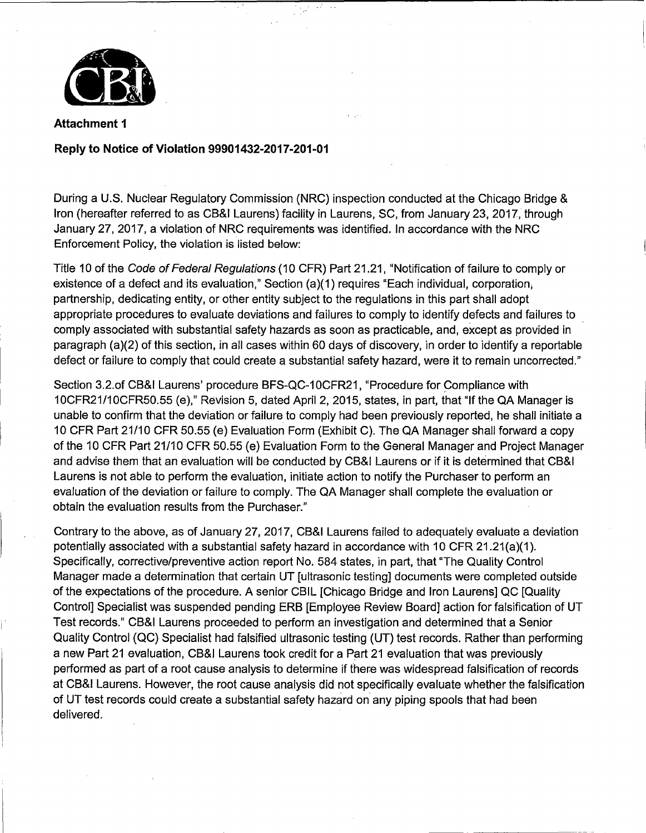

**Attachment 1** 

## **Reply to Notice of Violation 99901432-2017-201-01**

During a U.S. Nuclear Regulatory Commission (NRC) inspection conducted at the Chicago Bridge & Iron (hereafter referred to as CB&I Laurens) facility in Laurens, SC, from January 23, 2017, through January 27, 2017, a violation of NRC requirements was identified. In accordance with the NRC Enforcement Policy, the violation is listed below:

Title 10 of the Code of Federal Regulations (10 CFR) Part 21.21, "Notification of failure to comply or existence of a defect and its evaluation," Section (a)(1) requires "Each individual, corporation; partnership, dedicating entity, or other entity subject to the regulations in this part shall adopt appropriate procedures to evaluate deviations and failures to comply to identify defects and failures to comply associated with substantial safety hazards as soon as practicable, and, except as provided in paragraph (a)(2) of this section, in all cases within 60 days of discovery, in order to identify a reportable defect or failure to comply that could create a substantial safety hazard, were it to remain uncorrected."

Section 3.2.of CB&I Laurens' procedure BFS-QC-10CFR21, "Procedure for Compliance with 10CFR21/10CFR50.55 (e)," Revision 5, dated April 2, 2015, states, in part, that "If the QA Manager is unable to confirm that the deviation or failure to comply had been previously reported, he shall initiate a 10 CFR Part 21/10 CFR 50.55 (e) Evaluation Form (Exhibit C). The QA Manager shall forward a copy of the 10 CFR Part 21/10 CFR 50.55 (e) Evaluation Form to the General Manager and Project Manager and advise them that an evaluation will be conducted by CB&I Laurens or if it is determined that CB&I Laurens is not able to perform the evaluation, initiate action to notify the Purchaser to perform an evaluation of the deviation or failure to comply. The QA Manager shall complete the evaluation or obtain the evaluation results from the Purchaser."

Contrary to the above, as of January 27, 2017, CB&I Laurens failed to adequately evaluate a deviation potentially associated with a substantial safety hazard in accordance with 10 CFR 21.21(a)(1). Specifically, corrective/preventive action report No. 584 states, in part, that "The Quality Control Manager made a determination that certain UT [ultrasonic testing] documents were completed outside of the expectations of the procedure. A senior CBIL [Chicago Bridge and Iron Laurens] QC [Quality Control] Specialist was suspended pending ERB [Employee Review Board] action for falsification of UT Test records." CB&I Laurens proceeded to perform an investigation and determined that a Senior Quality Control (QC) Specialist had falsified ultrasonic testing (UT) test records. Rather than performing a new Part 21 evaluation, CB&I Laurens took credit for a Part 21 evaluation that was previously performed as part of a root cause analysis to determine if there was widespread falsification of records at CB&I Laurens. However, the root cause analysis did not specifically evaluate whether the falsification of UT test records could create a substantial safety hazard on' any piping spools that had been delivered.